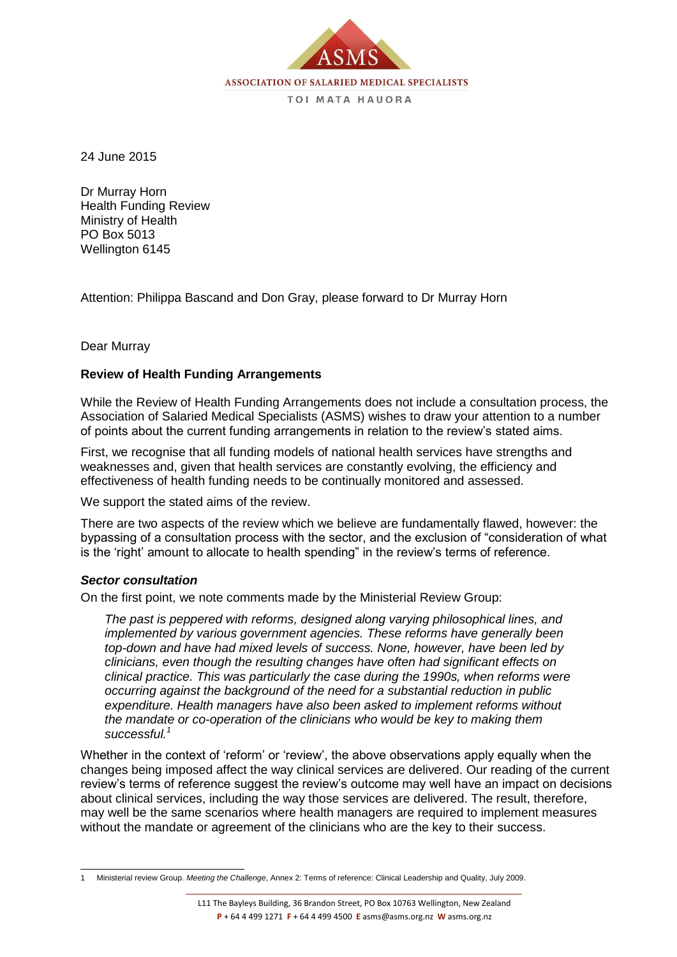

24 June 2015

Dr Murray Horn Health Funding Review Ministry of Health PO Box 5013 Wellington 6145

Attention: Philippa Bascand and Don Gray, please forward to Dr Murray Horn

## Dear Murray

# **Review of Health Funding Arrangements**

While the Review of Health Funding Arrangements does not include a consultation process, the Association of Salaried Medical Specialists (ASMS) wishes to draw your attention to a number of points about the current funding arrangements in relation to the review's stated aims.

First, we recognise that all funding models of national health services have strengths and weaknesses and, given that health services are constantly evolving, the efficiency and effectiveness of health funding needs to be continually monitored and assessed.

We support the stated aims of the review.

There are two aspects of the review which we believe are fundamentally flawed, however: the bypassing of a consultation process with the sector, and the exclusion of "consideration of what is the 'right' amount to allocate to health spending" in the review's terms of reference.

## *Sector consultation*

On the first point, we note comments made by the Ministerial Review Group:

*The past is peppered with reforms, designed along varying philosophical lines, and implemented by various government agencies. These reforms have generally been top-down and have had mixed levels of success. None, however, have been led by clinicians, even though the resulting changes have often had significant effects on clinical practice. This was particularly the case during the 1990s, when reforms were occurring against the background of the need for a substantial reduction in public expenditure. Health managers have also been asked to implement reforms without the mandate or co-operation of the clinicians who would be key to making them successful.<sup>1</sup>*

Whether in the context of 'reform' or 'review', the above observations apply equally when the changes being imposed affect the way clinical services are delivered. Our reading of the current review's terms of reference suggest the review's outcome may well have an impact on decisions about clinical services, including the way those services are delivered. The result, therefore, may well be the same scenarios where health managers are required to implement measures without the mandate or agreement of the clinicians who are the key to their success.

 $\overline{a}$ 1 Ministerial review Group. *Meeting the Challenge*, Annex 2: Terms of reference: Clinical Leadership and Quality, July 2009.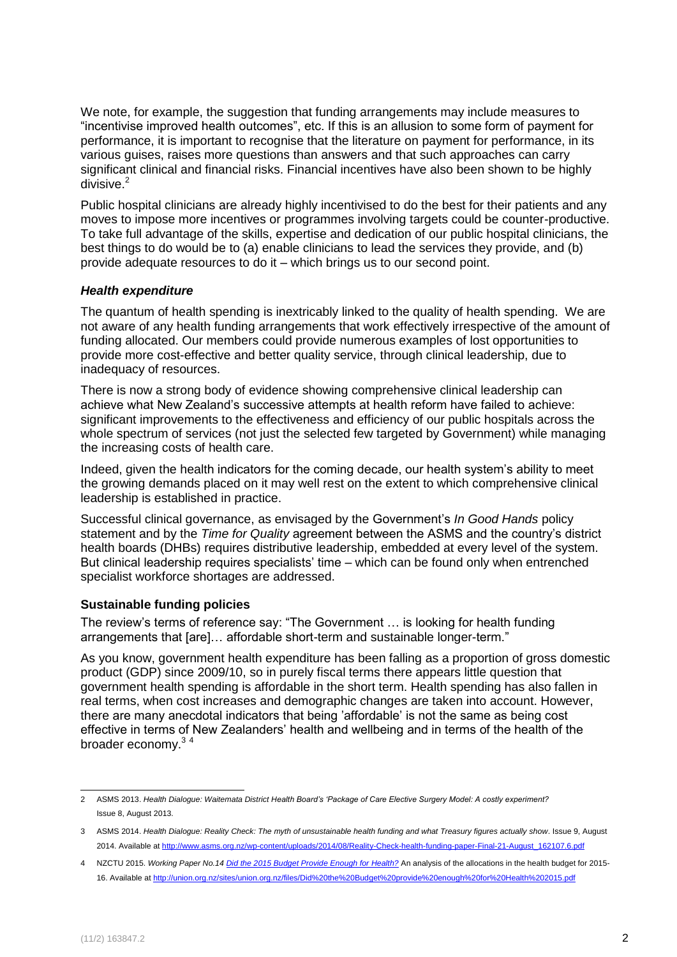We note, for example, the suggestion that funding arrangements may include measures to "incentivise improved health outcomes", etc. If this is an allusion to some form of payment for performance, it is important to recognise that the literature on payment for performance, in its various guises, raises more questions than answers and that such approaches can carry significant clinical and financial risks. Financial incentives have also been shown to be highly divisive.<sup>2</sup>

Public hospital clinicians are already highly incentivised to do the best for their patients and any moves to impose more incentives or programmes involving targets could be counter-productive. To take full advantage of the skills, expertise and dedication of our public hospital clinicians, the best things to do would be to (a) enable clinicians to lead the services they provide, and (b) provide adequate resources to do it – which brings us to our second point.

# *Health expenditure*

The quantum of health spending is inextricably linked to the quality of health spending. We are not aware of any health funding arrangements that work effectively irrespective of the amount of funding allocated. Our members could provide numerous examples of lost opportunities to provide more cost-effective and better quality service, through clinical leadership, due to inadequacy of resources.

There is now a strong body of evidence showing comprehensive clinical leadership can achieve what New Zealand's successive attempts at health reform have failed to achieve: significant improvements to the effectiveness and efficiency of our public hospitals across the whole spectrum of services (not just the selected few targeted by Government) while managing the increasing costs of health care.

Indeed, given the health indicators for the coming decade, our health system's ability to meet the growing demands placed on it may well rest on the extent to which comprehensive clinical leadership is established in practice.

Successful clinical governance, as envisaged by the Government's *In Good Hands* policy statement and by the *Time for Quality* agreement between the ASMS and the country's district health boards (DHBs) requires distributive leadership, embedded at every level of the system. But clinical leadership requires specialists' time – which can be found only when entrenched specialist workforce shortages are addressed.

## **Sustainable funding policies**

The review's terms of reference say: "The Government … is looking for health funding arrangements that [are]… affordable short-term and sustainable longer-term."

As you know, government health expenditure has been falling as a proportion of gross domestic product (GDP) since 2009/10, so in purely fiscal terms there appears little question that government health spending is affordable in the short term. Health spending has also fallen in real terms, when cost increases and demographic changes are taken into account. However, there are many anecdotal indicators that being 'affordable' is not the same as being cost effective in terms of New Zealanders' health and wellbeing and in terms of the health of the broader economy.<sup>34</sup>

 2 ASMS 2013. *Health Dialogue: Waitemata District Health Board's 'Package of Care Elective Surgery Model: A costly experiment?* Issue 8, August 2013.

<sup>3</sup> ASMS 2014. *Health Dialogue: Reality Check: The myth of unsustainable health funding and what Treasury figures actually show*. Issue 9, August 2014. Available a[t http://www.asms.org.nz/wp-content/uploads/2014/08/Reality-Check-health-funding-paper-Final-21-August\\_162107.6.pdf](http://www.asms.org.nz/wp-content/uploads/2014/08/Reality-Check-health-funding-paper-Final-21-August_162107.6.pdf)

<sup>4</sup> NZCTU 2015. *Working Paper No.1[4 Did the 2015 Budget Provide Enough for Health?](http://union.org.nz/sites/union.org.nz/files/Did%20the%20Budget%20provide%20enough%20for%20Health%202015.pdf)* An analysis of the allocations in the health budget for 2015- 16. Available at<http://union.org.nz/sites/union.org.nz/files/Did%20the%20Budget%20provide%20enough%20for%20Health%202015.pdf>